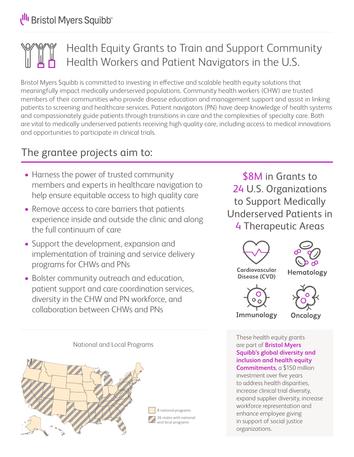## Health Equity Grants to Train and Support Community Health Workers and Patient Navigators in the U.S.

Bristol Myers Squibb is committed to investing in effective and scalable health equity solutions that meaningfully impact medically underserved populations. Community health workers (CHW) are trusted members of their communities who provide disease education and management support and assist in linking patients to screening and healthcare services. Patient navigators (PN) have deep knowledge of health systems and compassionately guide patients through transitions in care and the complexities of specialty care. Both are vital to medically underserved patients receiving high quality care, including access to medical innovations and opportunities to participate in clinical trials.

## The grantee projects aim to:

- Harness the power of trusted community members and experts in healthcare navigation to help ensure equitable access to high quality care
- Remove access to care barriers that patients experience inside and outside the clinic and along the full continuum of care
- Support the development, expansion and implementation of training and service delivery programs for CHWs and PNs
- Bolster community outreach and education, patient support and care coordination services, diversity in the CHW and PN workforce, and collaboration between CHWs and PNs

\$8M in Grants to 24 U.S. Organizations to Support Medically Underserved Patients in 4 Therapeutic Areas



These health equity grants are part of **Bristol Myers Squibb's global diversity and inclusion and health equity Commitments**, a \$150 million investment over five years to address health disparities, increase clinical trial diversity, expand supplier diversity, increase workforce representation and enhance employee giving in support of social justice organizations.

National and Local Programs